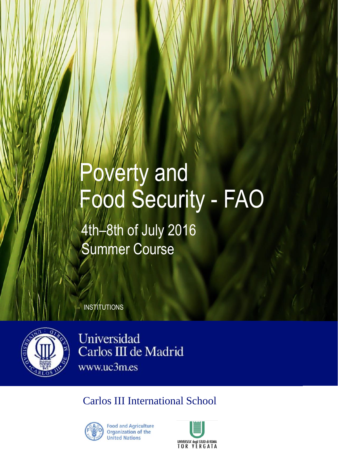## **Poverty and** Food Security - FAO

4th–8th of July 2016 Summer Course

**INSTITUTIONS** 



Universidad Carlos III de Madrid www.uc3m.es

Carlos III International School



**Food and Agriculture** Organization of the **United Nations**